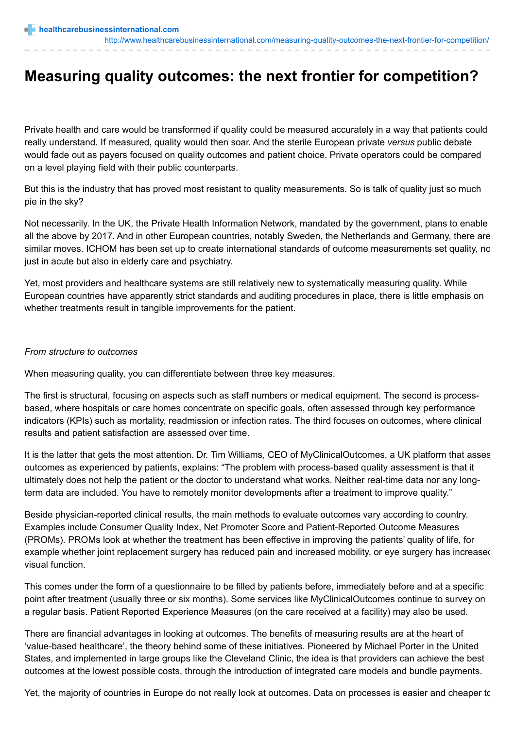#### <http://www.healthcarebusinessinternational.com/measuring-quality-outcomes-the-next-frontier-for-competition/>

# **Measuring quality outcomes: the next frontier for competition?**

Private health and care would be transformed if quality could be measured accurately in a way that patients could really understand. If measured, quality would then soar. And the sterile European private *versus* public debate would fade out as payers focused on quality outcomes and patient choice. Private operators could be compared on a level playing field with their public counterparts.

But this is the industry that has proved most resistant to quality measurements. So is talk of quality just so much pie in the sky?

Not necessarily. In the UK, the Private Health Information Network, mandated by the government, plans to enable all the above by 2017. And in other European countries, notably Sweden, the Netherlands and Germany, there are similar moves. ICHOM has been set up to create international standards of outcome measurements set quality, no just in acute but also in elderly care and psychiatry.

Yet, most providers and healthcare systems are still relatively new to systematically measuring quality. While European countries have apparently strict standards and auditing procedures in place, there is little emphasis on whether treatments result in tangible improvements for the patient.

### *From structure to outcomes*

When measuring quality, you can differentiate between three key measures.

The first is structural, focusing on aspects such as staff numbers or medical equipment. The second is processbased, where hospitals or care homes concentrate on specific goals, often assessed through key performance indicators (KPIs) such as mortality, readmission or infection rates. The third focuses on outcomes, where clinical results and patient satisfaction are assessed over time.

It is the latter that gets the most attention. Dr. Tim Williams, CEO of MyClinicalOutcomes, a UK platform that asses outcomes as experienced by patients, explains: "The problem with process-based quality assessment is that it ultimately does not help the patient or the doctor to understand what works. Neither real-time data nor any longterm data are included. You have to remotely monitor developments after a treatment to improve quality."

Beside physician-reported clinical results, the main methods to evaluate outcomes vary according to country. Examples include Consumer Quality Index, Net Promoter Score and Patient-Reported Outcome Measures (PROMs). PROMs look at whether the treatment has been effective in improving the patients' quality of life, for example whether joint replacement surgery has reduced pain and increased mobility, or eye surgery has increased visual function.

This comes under the form of a questionnaire to be filled by patients before, immediately before and at a specific point after treatment (usually three or six months). Some services like MyClinicalOutcomes continue to survey on a regular basis. Patient Reported Experience Measures (on the care received at a facility) may also be used.

There are financial advantages in looking at outcomes. The benefits of measuring results are at the heart of 'value-based healthcare', the theory behind some of these initiatives. Pioneered by Michael Porter in the United States, and implemented in large groups like the Cleveland Clinic, the idea is that providers can achieve the best outcomes at the lowest possible costs, through the introduction of integrated care models and bundle payments.

Yet, the majority of countries in Europe do not really look at outcomes. Data on processes is easier and cheaper to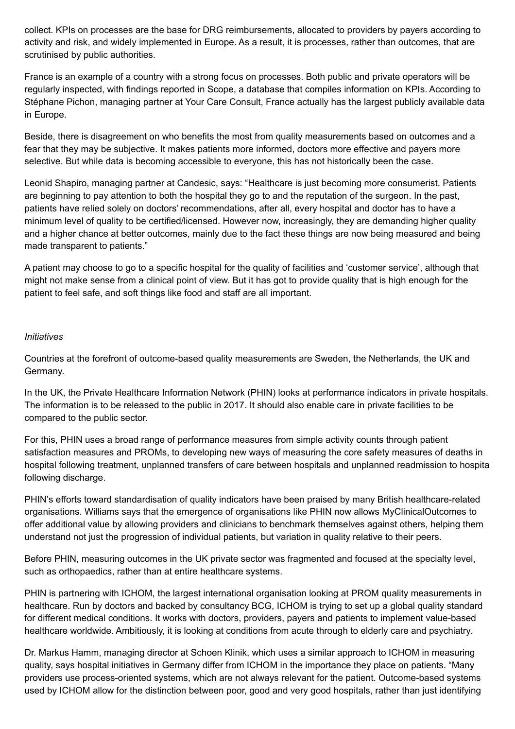collect. KPIs on processes are the base for DRG reimbursements, allocated to providers by payers according to activity and risk, and widely implemented in Europe. As a result, it is processes, rather than outcomes, that are scrutinised by public authorities.

France is an example of a country with a strong focus on processes. Both public and private operators will be regularly inspected, with findings reported in Scope, a database that compiles information on KPIs. According to Stéphane Pichon, managing partner at Your Care Consult, France actually has the largest publicly available data in Europe.

Beside, there is disagreement on who benefits the most from quality measurements based on outcomes and a fear that they may be subjective. It makes patients more informed, doctors more effective and payers more selective. But while data is becoming accessible to everyone, this has not historically been the case.

Leonid Shapiro, managing partner at Candesic, says: "Healthcare is just becoming more consumerist. Patients are beginning to pay attention to both the hospital they go to and the reputation of the surgeon. In the past, patients have relied solely on doctors' recommendations, after all, every hospital and doctor has to have a minimum level of quality to be certified/licensed. However now, increasingly, they are demanding higher quality and a higher chance at better outcomes, mainly due to the fact these things are now being measured and being made transparent to patients."

A patient may choose to go to a specific hospital for the quality of facilities and 'customer service', although that might not make sense from a clinical point of view. But it has got to provide quality that is high enough for the patient to feel safe, and soft things like food and staff are all important.

### *Initiatives*

Countries at the forefront of outcome-based quality measurements are Sweden, the Netherlands, the UK and Germany.

In the UK, the Private Healthcare Information Network (PHIN) looks at performance indicators in private hospitals. The information is to be released to the public in 2017. It should also enable care in private facilities to be compared to the public sector.

For this, PHIN uses a broad range of performance measures from simple activity counts through patient satisfaction measures and PROMs, to developing new ways of measuring the core safety measures of deaths in hospital following treatment, unplanned transfers of care between hospitals and unplanned readmission to hospital following discharge.

PHIN's efforts toward standardisation of quality indicators have been praised by many British healthcare-related organisations. Williams says that the emergence of organisations like PHIN now allows MyClinicalOutcomes to offer additional value by allowing providers and clinicians to benchmark themselves against others, helping them understand not just the progression of individual patients, but variation in quality relative to their peers.

Before PHIN, measuring outcomes in the UK private sector was fragmented and focused at the specialty level, such as orthopaedics, rather than at entire healthcare systems.

PHIN is partnering with ICHOM, the largest international organisation looking at PROM quality measurements in healthcare. Run by doctors and backed by consultancy BCG, ICHOM is trying to set up a global quality standard for different medical conditions. It works with doctors, providers, payers and patients to implement value-based healthcare worldwide. Ambitiously, it is looking at conditions from acute through to elderly care and psychiatry.

Dr. Markus Hamm, managing director at Schoen Klinik, which uses a similar approach to ICHOM in measuring quality, says hospital initiatives in Germany differ from ICHOM in the importance they place on patients. "Many providers use process-oriented systems, which are not always relevant for the patient. Outcome-based systems used by ICHOM allow for the distinction between poor, good and very good hospitals, rather than just identifying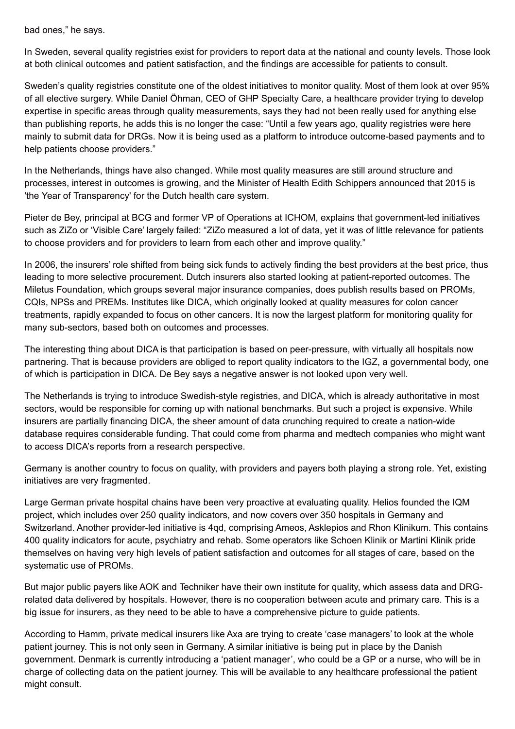bad ones," he says.

In Sweden, several quality registries exist for providers to report data at the national and county levels. Those look at both clinical outcomes and patient satisfaction, and the findings are accessible for patients to consult.

Sweden's quality registries constitute one of the oldest initiatives to monitor quality. Most of them look at over 95% of all elective surgery. While Daniel Öhman, CEO of GHP Specialty Care, a healthcare provider trying to develop expertise in specific areas through quality measurements, says they had not been really used for anything else than publishing reports, he adds this is no longer the case: "Until a few years ago, quality registries were here mainly to submit data for DRGs. Now it is being used as a platform to introduce outcome-based payments and to help patients choose providers."

In the Netherlands, things have also changed. While most quality measures are still around structure and processes, interest in outcomes is growing, and the Minister of Health Edith Schippers announced that 2015 is 'the Year of Transparency' for the Dutch health care system.

Pieter de Bey, principal at BCG and former VP of Operations at ICHOM, explains that government-led initiatives such as ZiZo or 'Visible Care' largely failed: "ZiZo measured a lot of data, yet it was of little relevance for patients to choose providers and for providers to learn from each other and improve quality."

In 2006, the insurers' role shifted from being sick funds to actively finding the best providers at the best price, thus leading to more selective procurement. Dutch insurers also started looking at patient-reported outcomes. The Miletus Foundation, which groups several major insurance companies, does publish results based on PROMs, CQIs, NPSs and PREMs. Institutes like DICA, which originally looked at quality measures for colon cancer treatments, rapidly expanded to focus on other cancers. It is now the largest platform for monitoring quality for many sub-sectors, based both on outcomes and processes.

The interesting thing about DICA is that participation is based on peer-pressure, with virtually all hospitals now partnering. That is because providers are obliged to report quality indicators to the IGZ, a governmental body, one of which is participation in DICA. De Bey says a negative answer is not looked upon very well.

The Netherlands is trying to introduce Swedish-style registries, and DICA, which is already authoritative in most sectors, would be responsible for coming up with national benchmarks. But such a project is expensive. While insurers are partially financing DICA, the sheer amount of data crunching required to create a nation-wide database requires considerable funding. That could come from pharma and medtech companies who might want to access DICA's reports from a research perspective.

Germany is another country to focus on quality, with providers and payers both playing a strong role. Yet, existing initiatives are very fragmented.

Large German private hospital chains have been very proactive at evaluating quality. Helios founded the IQM project, which includes over 250 quality indicators, and now covers over 350 hospitals in Germany and Switzerland. Another provider-led initiative is 4qd, comprising Ameos, Asklepios and Rhon Klinikum. This contains 400 quality indicators for acute, psychiatry and rehab. Some operators like Schoen Klinik or Martini Klinik pride themselves on having very high levels of patient satisfaction and outcomes for all stages of care, based on the systematic use of PROMs.

But major public payers like AOK and Techniker have their own institute for quality, which assess data and DRGrelated data delivered by hospitals. However, there is no cooperation between acute and primary care. This is a big issue for insurers, as they need to be able to have a comprehensive picture to guide patients.

According to Hamm, private medical insurers like Axa are trying to create 'case managers' to look at the whole patient journey. This is not only seen in Germany. A similar initiative is being put in place by the Danish government. Denmark is currently introducing a 'patient manager', who could be a GP or a nurse, who will be in charge of collecting data on the patient journey. This will be available to any healthcare professional the patient might consult.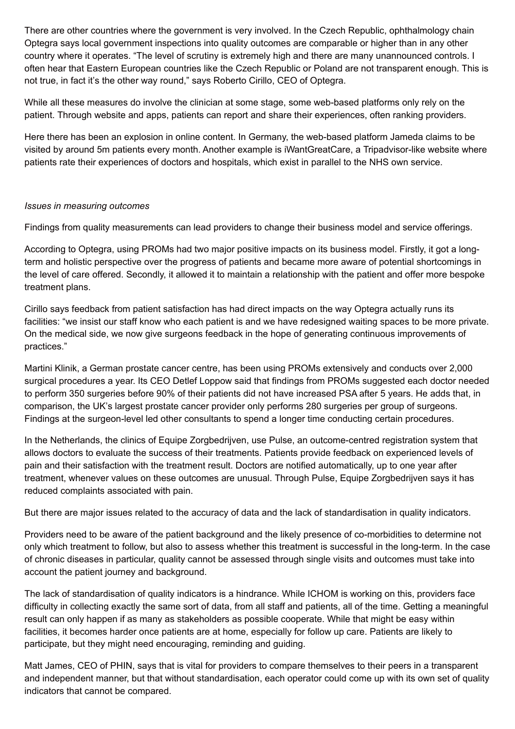There are other countries where the government is very involved. In the Czech Republic, ophthalmology chain Optegra says local government inspections into quality outcomes are comparable or higher than in any other country where it operates. "The level of scrutiny is extremely high and there are many unannounced controls. I often hear that Eastern European countries like the Czech Republic or Poland are not transparent enough. This is not true, in fact it's the other way round," says Roberto Cirillo, CEO of Optegra.

While all these measures do involve the clinician at some stage, some web-based platforms only rely on the patient. Through website and apps, patients can report and share their experiences, often ranking providers.

Here there has been an explosion in online content. In Germany, the web-based platform Jameda claims to be visited by around 5m patients every month. Another example is iWantGreatCare, a Tripadvisor-like website where patients rate their experiences of doctors and hospitals, which exist in parallel to the NHS own service.

# *Issues in measuring outcomes*

Findings from quality measurements can lead providers to change their business model and service offerings.

According to Optegra, using PROMs had two major positive impacts on its business model. Firstly, it got a longterm and holistic perspective over the progress of patients and became more aware of potential shortcomings in the level of care offered. Secondly, it allowed it to maintain a relationship with the patient and offer more bespoke treatment plans.

Cirillo says feedback from patient satisfaction has had direct impacts on the way Optegra actually runs its facilities: "we insist our staff know who each patient is and we have redesigned waiting spaces to be more private. On the medical side, we now give surgeons feedback in the hope of generating continuous improvements of practices."

Martini Klinik, a German prostate cancer centre, has been using PROMs extensively and conducts over 2,000 surgical procedures a year. Its CEO Detlef Loppow said that findings from PROMs suggested each doctor needed to perform 350 surgeries before 90% of their patients did not have increased PSA after 5 years. He adds that, in comparison, the UK's largest prostate cancer provider only performs 280 surgeries per group of surgeons. Findings at the surgeon-level led other consultants to spend a longer time conducting certain procedures.

In the Netherlands, the clinics of Equipe Zorgbedrijven, use Pulse, an outcome-centred registration system that allows doctors to evaluate the success of their treatments. Patients provide feedback on experienced levels of pain and their satisfaction with the treatment result. Doctors are notified automatically, up to one year after treatment, whenever values on these outcomes are unusual. Through Pulse, Equipe Zorgbedrijven says it has reduced complaints associated with pain.

But there are major issues related to the accuracy of data and the lack of standardisation in quality indicators.

Providers need to be aware of the patient background and the likely presence of co-morbidities to determine not only which treatment to follow, but also to assess whether this treatment is successful in the long-term. In the case of chronic diseases in particular, quality cannot be assessed through single visits and outcomes must take into account the patient journey and background.

The lack of standardisation of quality indicators is a hindrance. While ICHOM is working on this, providers face difficulty in collecting exactly the same sort of data, from all staff and patients, all of the time. Getting a meaningful result can only happen if as many as stakeholders as possible cooperate. While that might be easy within facilities, it becomes harder once patients are at home, especially for follow up care. Patients are likely to participate, but they might need encouraging, reminding and guiding.

Matt James, CEO of PHIN, says that is vital for providers to compare themselves to their peers in a transparent and independent manner, but that without standardisation, each operator could come up with its own set of quality indicators that cannot be compared.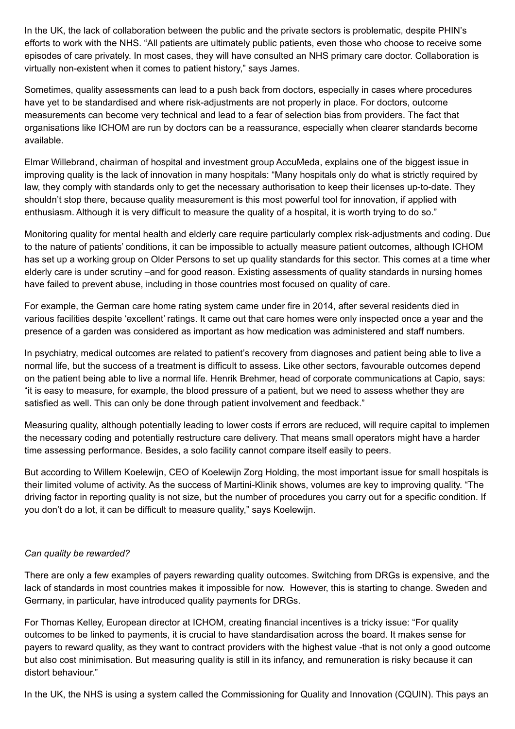In the UK, the lack of collaboration between the public and the private sectors is problematic, despite PHIN's efforts to work with the NHS. "All patients are ultimately public patients, even those who choose to receive some episodes of care privately. In most cases, they will have consulted an NHS primary care doctor. Collaboration is virtually non-existent when it comes to patient history," says James.

Sometimes, quality assessments can lead to a push back from doctors, especially in cases where procedures have yet to be standardised and where risk-adjustments are not properly in place. For doctors, outcome measurements can become very technical and lead to a fear of selection bias from providers. The fact that organisations like ICHOM are run by doctors can be a reassurance, especially when clearer standards become available.

Elmar Willebrand, chairman of hospital and investment group AccuMeda, explains one of the biggest issue in improving quality is the lack of innovation in many hospitals: "Many hospitals only do what is strictly required by law, they comply with standards only to get the necessary authorisation to keep their licenses up-to-date. They shouldn't stop there, because quality measurement is this most powerful tool for innovation, if applied with enthusiasm. Although it is very difficult to measure the quality of a hospital, it is worth trying to do so."

Monitoring quality for mental health and elderly care require particularly complex risk-adjustments and coding. Due to the nature of patients' conditions, it can be impossible to actually measure patient outcomes, although ICHOM has set up a working group on Older Persons to set up quality standards for this sector. This comes at a time when elderly care is under scrutiny –and for good reason. Existing assessments of quality standards in nursing homes have failed to prevent abuse, including in those countries most focused on quality of care.

For example, the German care home rating system came under fire in 2014, after several residents died in various facilities despite 'excellent' ratings. It came out that care homes were only inspected once a year and the presence of a garden was considered as important as how medication was administered and staff numbers.

In psychiatry, medical outcomes are related to patient's recovery from diagnoses and patient being able to live a normal life, but the success of a treatment is difficult to assess. Like other sectors, favourable outcomes depend on the patient being able to live a normal life. Henrik Brehmer, head of corporate communications at Capio, says: "it is easy to measure, for example, the blood pressure of a patient, but we need to assess whether they are satisfied as well. This can only be done through patient involvement and feedback."

Measuring quality, although potentially leading to lower costs if errors are reduced, will require capital to implement the necessary coding and potentially restructure care delivery. That means small operators might have a harder time assessing performance. Besides, a solo facility cannot compare itself easily to peers.

But according to Willem Koelewijn, CEO of Koelewijn Zorg Holding, the most important issue for small hospitals is their limited volume of activity. As the success of Martini-Klinik shows, volumes are key to improving quality. "The driving factor in reporting quality is not size, but the number of procedures you carry out for a specific condition. If you don't do a lot, it can be difficult to measure quality," says Koelewijn.

# *Can quality be rewarded?*

There are only a few examples of payers rewarding quality outcomes. Switching from DRGs is expensive, and the lack of standards in most countries makes it impossible for now. However, this is starting to change. Sweden and Germany, in particular, have introduced quality payments for DRGs.

For Thomas Kelley, European director at ICHOM, creating financial incentives is a tricky issue: "For quality outcomes to be linked to payments, it is crucial to have standardisation across the board. It makes sense for payers to reward quality, as they want to contract providers with the highest value -that is not only a good outcome but also cost minimisation. But measuring quality is still in its infancy, and remuneration is risky because it can distort behaviour."

In the UK, the NHS is using a system called the Commissioning for Quality and Innovation (CQUIN). This pays an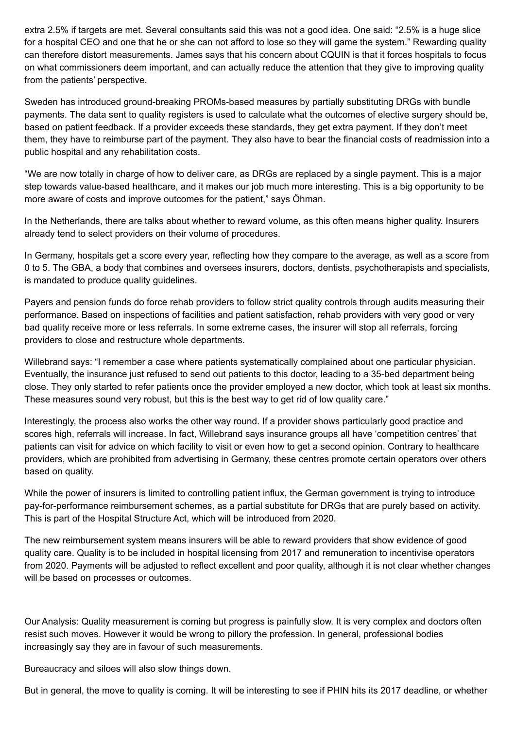extra 2.5% if targets are met. Several consultants said this was not a good idea. One said: "2.5% is a huge slice for a hospital CEO and one that he or she can not afford to lose so they will game the system." Rewarding quality can therefore distort measurements. James says that his concern about CQUIN is that it forces hospitals to focus on what commissioners deem important, and can actually reduce the attention that they give to improving quality from the patients' perspective.

Sweden has introduced ground-breaking PROMs-based measures by partially substituting DRGs with bundle payments. The data sent to quality registers is used to calculate what the outcomes of elective surgery should be, based on patient feedback. If a provider exceeds these standards, they get extra payment. If they don't meet them, they have to reimburse part of the payment. They also have to bear the financial costs of readmission into a public hospital and any rehabilitation costs.

"We are now totally in charge of how to deliver care, as DRGs are replaced by a single payment. This is a major step towards value-based healthcare, and it makes our job much more interesting. This is a big opportunity to be more aware of costs and improve outcomes for the patient," says Öhman.

In the Netherlands, there are talks about whether to reward volume, as this often means higher quality. Insurers already tend to select providers on their volume of procedures.

In Germany, hospitals get a score every year, reflecting how they compare to the average, as well as a score from 0 to 5. The GBA, a body that combines and oversees insurers, doctors, dentists, psychotherapists and specialists, is mandated to produce quality guidelines.

Payers and pension funds do force rehab providers to follow strict quality controls through audits measuring their performance. Based on inspections of facilities and patient satisfaction, rehab providers with very good or very bad quality receive more or less referrals. In some extreme cases, the insurer will stop all referrals, forcing providers to close and restructure whole departments.

Willebrand says: "I remember a case where patients systematically complained about one particular physician. Eventually, the insurance just refused to send out patients to this doctor, leading to a 35-bed department being close. They only started to refer patients once the provider employed a new doctor, which took at least six months. These measures sound very robust, but this is the best way to get rid of low quality care."

Interestingly, the process also works the other way round. If a provider shows particularly good practice and scores high, referrals will increase. In fact, Willebrand says insurance groups all have 'competition centres' that patients can visit for advice on which facility to visit or even how to get a second opinion. Contrary to healthcare providers, which are prohibited from advertising in Germany, these centres promote certain operators over others based on quality.

While the power of insurers is limited to controlling patient influx, the German government is trying to introduce pay-for-performance reimbursement schemes, as a partial substitute for DRGs that are purely based on activity. This is part of the Hospital Structure Act, which will be introduced from 2020.

The new reimbursement system means insurers will be able to reward providers that show evidence of good quality care. Quality is to be included in hospital licensing from 2017 and remuneration to incentivise operators from 2020. Payments will be adjusted to reflect excellent and poor quality, although it is not clear whether changes will be based on processes or outcomes.

Our Analysis: Quality measurement is coming but progress is painfully slow. It is very complex and doctors often resist such moves. However it would be wrong to pillory the profession. In general, professional bodies increasingly say they are in favour of such measurements.

Bureaucracy and siloes will also slow things down.

But in general, the move to quality is coming. It will be interesting to see if PHIN hits its 2017 deadline, or whether